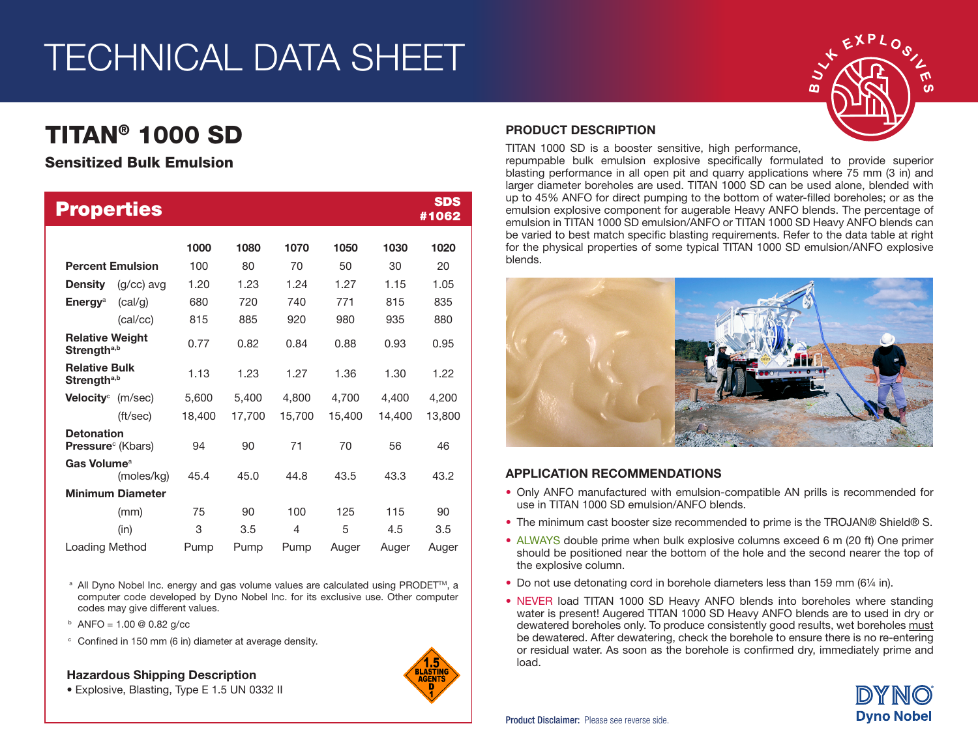# TECHNICAL DATA SHEET

# TITAN® 1000 SD

## Sensitized Bulk Emulsion

| <b>Properties</b>                                 |        |        |        |        |        | <b>SDS</b><br>#1062 |
|---------------------------------------------------|--------|--------|--------|--------|--------|---------------------|
|                                                   | 1000   | 1080   | 1070   | 1050   | 1030   | 1020                |
| <b>Percent Emulsion</b>                           | 100    | 80     | 70     | 50     | 30     | 20                  |
| <b>Density</b><br>$(q/cc)$ avg                    | 1.20   | 1.23   | 1.24   | 1.27   | 1.15   | 1.05                |
| <b>Energy</b> <sup>a</sup><br>(cal/g)             | 680    | 720    | 740    | 771    | 815    | 835                 |
| (cal/cc)                                          | 815    | 885    | 920    | 980    | 935    | 880                 |
| <b>Relative Weight</b><br>Strength <sup>a,b</sup> | 0.77   | 0.82   | 0.84   | 0.88   | 0.93   | 0.95                |
| <b>Relative Bulk</b><br>Strength <sup>a,b</sup>   | 1.13   | 1.23   | 1.27   | 1.36   | 1.30   | 1.22                |
| <b>Velocity</b> <sup>c</sup> (m/sec)              | 5,600  | 5,400  | 4,800  | 4,700  | 4,400  | 4,200               |
| (ft/sec)                                          | 18,400 | 17,700 | 15,700 | 15,400 | 14,400 | 13,800              |
| <b>Detonation</b><br><b>Pressure</b> (Kbars)      | 94     | 90     | 71     | 70     | 56     | 46                  |
| Gas Volume <sup>a</sup><br>(moles/kg)             | 45.4   | 45.0   | 44.8   | 43.5   | 43.3   | 43.2                |
| <b>Minimum Diameter</b>                           |        |        |        |        |        |                     |
| (mm)                                              | 75     | 90     | 100    | 125    | 115    | 90                  |
| (in)                                              | 3      | 3.5    | 4      | 5      | 4.5    | 3.5                 |
| Loading Method                                    | Pump   | Pump   | Pump   | Auger  | Auger  | Auger               |

<sup>a</sup> All Dyno Nobel Inc. energy and gas volume values are calculated using PRODET<sup>™</sup>, a computer code developed by Dyno Nobel Inc. for its exclusive use. Other computer codes may give different values.

- $b$  ANFO = 1.00 @ 0.82 g/cc
- <sup>c</sup> Confined in 150 mm (6 in) diameter at average density.

Hazardous Shipping Description





### PRODUCT DESCRIPTION

TITAN 1000 SD is a booster sensitive, high performance,

repumpable bulk emulsion explosive specifically formulated to provide superior blasting performance in all open pit and quarry applications where 75 mm (3 in) and larger diameter boreholes are used. TITAN 1000 SD can be used alone, blended with up to 45% ANFO for direct pumping to the bottom of water-filled boreholes; or as the emulsion explosive component for augerable Heavy ANFO blends. The percentage of emulsion in TITAN 1000 SD emulsion/ANFO or TITAN 1000 SD Heavy ANFO blends can be varied to best match specific blasting requirements. Refer to the data table at right for the physical properties of some typical TITAN 1000 SD emulsion/ANFO explosive blends.



#### APPLICATION RECOMMENDATIONS

- Only ANFO manufactured with emulsion-compatible AN prills is recommended for use in TITAN 1000 SD emulsion/ANFO blends.
- The minimum cast booster size recommended to prime is the TROJAN® Shield® S.
- ALWAYS double prime when bulk explosive columns exceed 6 m (20 ft) One primer should be positioned near the bottom of the hole and the second nearer the top of the explosive column.
- Do not use detonating cord in borehole diameters less than 159 mm (6¼ in).
- NEVER load TITAN 1000 SD Heavy ANFO blends into boreholes where standing water is present! Augered TITAN 1000 SD Heavy ANFO blends are to used in dry or dewatered boreholes only. To produce consistently good results, wet boreholes must be dewatered. After dewatering, check the borehole to ensure there is no re-entering or residual water. As soon as the borehole is confirmed dry, immediately prime and load.